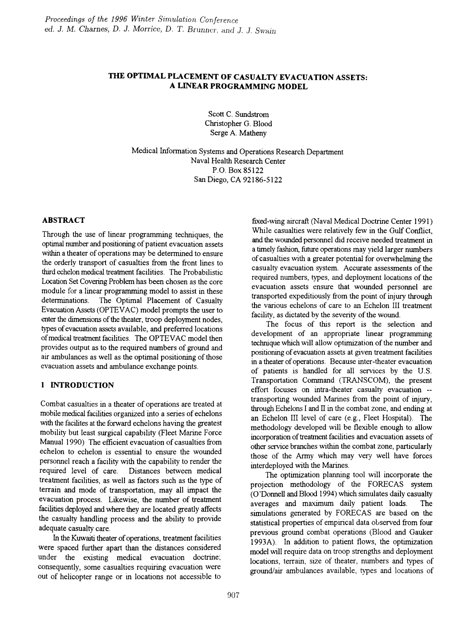# THE OPTIMAL PLACEMENT OF CASUALTY EVACUATION ASSETS: A LINEAR PROGRAMMING MODEL

Scott C. Sundstrom Christopher G. Blood Serge A. Matheny

Medical Information Systems and Operations Research Department Naval Health Research Center P.O. Box 85122 San Diego, CA 92186-5122

# ABSTRACT

Through the use of linear programming techniques, the optimal nmnber and positioning of patient evacuation assets within a theater of operations may be determined to ensure the orderly transport of casualties from the front lines to third echelon medical treatment facilities. The Probabilistic Location Set Covering Problem has been chosen as the core module for a linear programming model to assist in these determinations. The Optimal Placement of Casualty Evacuation Assets (OPTEVAC) model prompts the user to enter the dimensions of the theater, troop deployment nodes, types of evacuation assets available, and preferred locations ofmedical treatment facilities. The OPTEVAC model then provides output as to the required numbers of ground and air ambulances as well as the optimal positioning of those evacuation assets and ambulance exchange points.

### 1 INTRODUCTION

Combat casualties in a theater of operations are treated at mobile medical facilities organized into a series of echelons with the facilites at the forward echelons having the greatest mobility but least surgical capability (Fleet Marine Force Manual 1990) The efficient evacuation of casualties from echelon to echelon is essential to ensure the wounded personnel reach a facility with the capability to render the required level of care. Distances between medical treatment facilities, as well as factors such as the type of terrain and mode of transportation, may all impact the evacuation process. Likewise, the nwnber of treatment facilities deployed and where they are located greatly affects the casualty handling process and the ability to provide adequate casualty care.

In the Kuwaiti theater of operations, treatment facilities were spaced further apart than the distances considered under the existing medical evacuation doctrine; consequently, some casualties requiring evacuation were out of helicopter range or in locations not accessible to

fixed-wing aircraft (Naval Medical Doctrine Center 1991) While casualties were relatively few in the Gulf Conflict, and the wounded personnel did receive needed treatment in a timely fashion, future operations may yield larger numbers of casualties with a greater potential for overwhelming the casualty evacuation system. Accurate assessments of the required numbers, types, and deployment locations of the evacuation assets ensure that wounded personnel are transported expeditiously from the point of injury through the various echelons of care to an Echelon III treatment facility, as dictated by the severity of the wound.

The focus of this report is the selection and development of an appropriate linear programming technique which will allow optimization of the number and positioning of evacuation assets at given treatment facilities in a theater of operations. Because inter-theater evacuation of patients is handled for all services by the U.S. Transportation Command (TRANSCOM), the present effort focuses on intra-theater casualty evacuation - transporting wounded Marines from the point of injury, through Echelons I and II in the combat zone, and ending at an Echelon III level of care (e.g., Fleet Hospital). The methodology developed will be flexible enough to allow incorporation of treatment facilities and evacuation assets of other service branches within the combat zone, particularly those of the Army which may very well have forces interdeployed with the Marines.

The optimization planning tool will incorporate the projection methodology of the FORECAS system (0'Donnell and Blood 1994) which simulates daily casualty averages and maximum daily patient loads. The simulations generated by FORECAS are based on the statistical properties of empirical data observed from four previous ground combat operations (Blood and Gauker 1993A). In addition to patient flows, the optimization model will require data on troop strengths and deployment locations, terrain, size of theater, numbers and types of ground/air ambulances available, types and locations of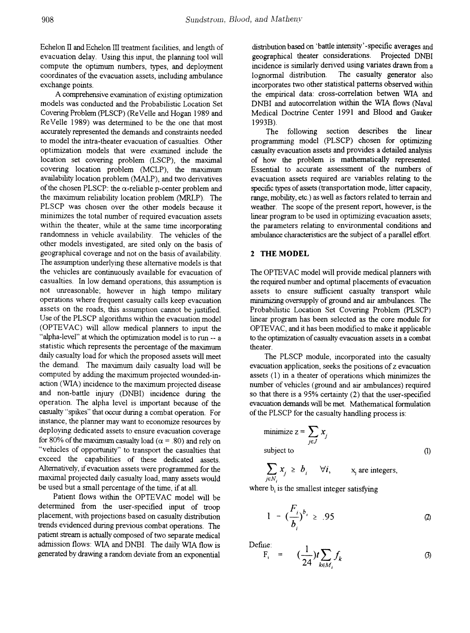Echelon II and Echelon III treatment facilities, and length of evacuation delay. Using this input, the planning tool will compute the optimum numbers, types, and deployment coordinates of the evacuation assets, including ambulance exchange points.

A comprehensive examination of existing optimization models was conducted and the Probabilistic Location Set Covering Problem (PLSCP) (ReVelle and Hogan 1989 and Re Velle 1989) was detennined to be the one that most accurately represented the demands and constraints needed to model the intra-theater evacuation of casualties. Other optimization models that were examined include the location set covering problem (LSCP), the maximal covering location problem (MCLP), the maximum availability location problem (MALP), and two derivatives of the chosen PLSCP: the  $\alpha$ -reliable p-center problem and the maximum reliability location problem (MRLP). The PLSCP was chosen over the other models because it minimizes the total number of required evacuation assets within the theater, while at the same time incorporating randomness in vehicle availability. The vehicles of the other models investigated, are sited only on the basis of geographical coverage and not on the basis of availability. The assumption underlying these alternative models is that the vehicles are continuously available for evacuation of casualties. In low demand operations, this assumption is not unreasonable; however in high tempo military operations where frequent casualty calls keep evacuation assets on the roads, this assumption cannot be justified. Use of the PLSCP algorithms within the evacuation model (OPTEVAC) will allow medical planners to input the "alpha-level" at which the optimization model is to run -- a statistic which represents the percentage of the maximwn daily casualty load for which the proposed assets will meet the demand. The maximum daily casualty load will be computed by adding the maximum projected wotmded-inaction (WIA) incidence to the maximum projected disease and non-battle injury (DNBI) incidence during the operation. The alpha level is important because of the casualty "spikes" that occur during a combat operation. For instance, the planner may want to economize resources by deploying dedicated assets to ensure evacuation coverage for 80% of the maximum casualty load ( $\alpha$  = .80) and rely on "vehicles of opportunity" to transport the casualties that exceed the capabilities of these dedicated assets. Alternatively, ifevacuation assets were programmed for the maximal projected daily casualty load, many assets would be used but a small percentage of the time, if at all.

Patient flows within the OPTEVAC model will be detennined from the user-specified input of troop placement, with projections based on casualty distribution trends evidenced during previous combat operations. The patient stream is actually composed of two separate medical admission flows: WIA and DNBI. The daily WIA flow is generated by drawing a random deviate from an exponential

distribution based on 'battle intensity'-specific averages and geographical theater considerations. Projected DNBI incidence is similarly derived using variates drawn from a lognormal distribution. The casualty generator also incorporates two other statistical patterns observed within the empirical data: cross-correlation betwen WIA and DNE! and autocorrelation within the WIA flows (Naval Medical Doctrine Center 1991 and Blood and Gauker 1993B).

The following section describes the linear programming model (PLSCP) chosen for optimizing casualty evacuation assets and provides a detailed analysis of how the problem is mathematically represented. Essential to accurate assessment of the numbers of evacuation assets required are variables relating to the specific types of assets (transportation mode, litter capacity, range, mobility, etc.) as well as factors related to terrain and weather. The scope of the present report, however, is the linear program to be used in optimizing evacuation assets; the parameters relating to environmental conditions and ambulance characteristics are the subject of a parallel effort.

### **2 THEMODEL**

The OPTEVAC model will provide medical planners with the required number and optimal placements of evacuation assets to ensure sufficient casualty transport while minimizing oversupply of ground and air ambulances. The Probabilistic Location Set Covering Problem (PLSCP) linear program has been selected as the core module for OPTEVAC, and it has been modified to make it applicable to the optimization of casualty evacuation assets in a combat theater.

The PLSCP module, incorporated into the casualty evacuation application, seeks the positions of z evacuation assets (1) in a theater of operations which minimizes the number of vehicles (ground and air ambulances) required so that there is a 95% certainty (2) that the user-specified evacuation demands will be met. Mathematical fonnulation of the PLSCP for the casualty handling process is:

minimize 
$$
z = \sum_{j \in J} x_j
$$
  
subject to (1)

 $\sum_{j \in N_i} x_j \ge b_i \quad \forall i, \qquad x_j$  are integers,

where  $b_i$  is the smallest integer satisfying

$$
1 - \left(\frac{F_{i}}{b_{i}}\right)^{b_{i}} \geq .95 \tag{2}
$$

Define:

$$
F_i = (\frac{1}{24})t \sum_{k \in M_i} f_k
$$
 (3)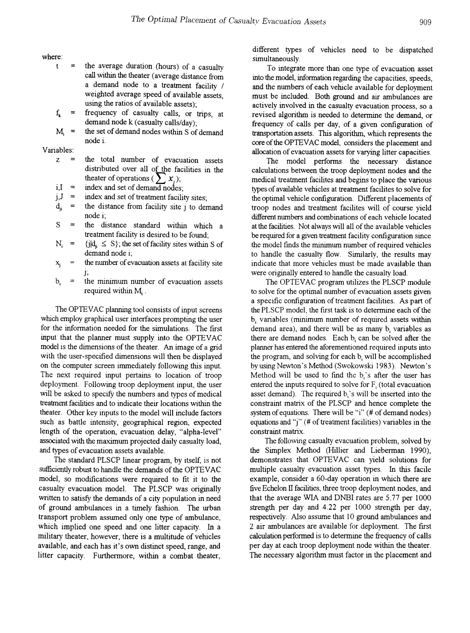where:

- $t =$  the average duration (hours) of a casualty call within the theater (average distance from a demand node to a treatment facility / weighted average speed of available assets, using the ratios of available assets);
- $f_{\nu}$ frequency of casualty calls, or trips, at demand node k (casualty calls/day);
- the set of demand nodes within S of demand  $M_{\rm c}$ node i.

Variables:

- $z =$  the total number of evacuation assets distributed over all of the facilities in the theater of operations ( $\sum x_i$ );
- i, $I =$  index and set of demand nodes;<br>i, $J =$  index and set of treatment facili
- $j, J =$  index and set of treatment facility sites;<br> $d_{ij} =$  the distance from facility site i to der
- $d_{ii}$  = the distance from facility site j to demand node i;
- $S =$  the distance standard within which a treatment facility is desired to be found;
- $N_i$  = {j|d<sub>i</sub>  $\leq$  S}; the set of facility sites within S of demand node i;
- the number of evacuation assets at facility site  $X_i$ J;
- $b_i$  = the minimum number of evacuation assets required within  $M<sub>i</sub>$ .

The OPTEVAC planning tool consists of input screens which employ graphical user interfaces prompting the user for the information needed for the simulations. The first input that the planner must supply into the OPTEVAC model is the dimensions of the theater. An image of a grid with the user-specified dimensions will then be displayed on the computer screen immediately following this input. The next required input pertains to location of troop deployment. Following troop deployment input, the user will be asked to specify the numbers and types of medical treatment facilities and to indicate their locations within the theater. Other key inputs to the model will include factors such as battle intensity, geographical region, expected length of the operation, evacuation delay, "alpha-level" associated with the maximum projected daily casualty load, and types of evacuation assets available.

The standard PLSCP linear program, by itself, is not sufficiently robust to handle the demands of the OPTEVAC model, so modifications were required to fit it to the casualty evacuation model. The PLSCP was originally written to satisfy the demands of a city population in need of ground ambulances in a timely fashion. The urban transport problem assumed only one type of ambulance, which implied one speed and one litter capacity. In a military theater, however, there is a multitude of vehicles available, and each has it's own distinct speed, range, and litter capacity. Furthermore, within a combat theater,

different types of vehicles need to be dispatched simultaneously.

To integrate more than one type of evacuation asset into the model, infonnation regarding the capacities, speeds, and the numbers of each vehicle available for deployment must be included. Both ground and air ambulances are actively involved in the casualty evacuation process, so a revised algorithm is needed to determine the demand, or frequency of calls per day, of a given configuration of transportation assets. This algorithm, which represents the core of the OPTEVAC model, considers the placement and allocation of evacuation assets for varying litter capacities.

The model performs the necessary distance calculations between the troop deployment nodes and the medical treatment facilites and begins to place the various types of available vehicles at treatment facilites to solve for the optimal vehicle configuration. Different placements of troop nodes and treatment facilites will of course yield different numbers and combinations of each vehicle located at the facilities. Not always will all of the available vehicles be required for a given treatment facility configuration since the model finds the minimum number of required vehicles to handle the casualty flow. Similarly, the results may indicate that more vehicles must be made available than were originally entered to handle the casualty load.

The OPTEVAC program utilizes the PLSCP module to solve for the optimal number of evacuation assets given a specific configuration of treatment facilities. As part of the PLSCP model, the first task is to determine each of the b, variables (minimum number of required assets within demand area), and there will be as many b<sub>i</sub> variables as there are demand nodes. Each  $b_i$  can be solved after the planner has entered the aforementioned required inputs into the program, and solving for each b<sub>i</sub> will be accomplished by using Newton's Method (Swokowski 1983). Newton's Method will be used to find the  $b_i$ 's after the user has entered the inputs required to solve for  $F<sub>1</sub>$  (total evacuation asset demand). The required  $b_i$ 's will be inserted into the constraint matrix of the PLSCP and hence complete the system of equations. There will be "i"  $(\# \text{ of demand nodes})$ equations and "j" (# of treatment facilities) variables in the constraint matrix.

The following casualty evacuation problem, solved by the Simplex Method (Hillier and Lieberman 1990), demonstrates that OPTEVAC can yield solutions for multiple casualty evacuation asset types. In this facile example) consider a 60-day operation in which there are five Echelon IT facilities, three troop deployment nodes, and that the average WIA and DNBI rates are 5.77 per 1000 strength per day and 4.22 per 1000 strength per day, respectively. Also assume that 10 ground ambulances and 2 air ambulances are available for deployment. The frrst calculation petfonned is to determine the frequency of calls per day at each troop deployment node within the theater. The necessary algorithm must factor in the placement and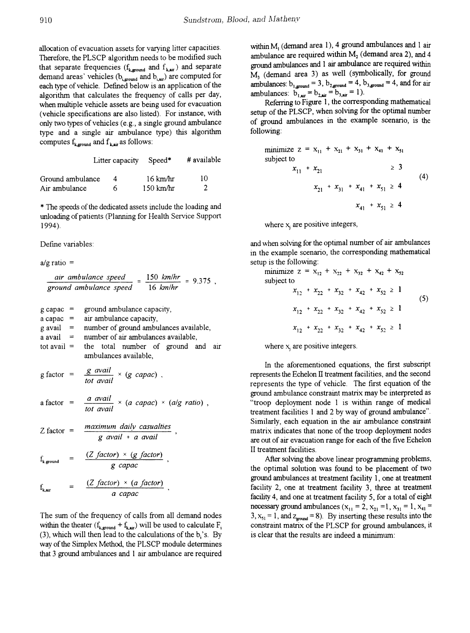allocation of evacuation assets for varying litter capacities. Therefore, the PLSCP algorithm needs to be modified such that separate frequencies ( $f_{k,ground}$  and  $f_{k,air}$ ) and separate demand areas' vehicles ( $b_{i,ground}$  and  $b_{i,air}$ ) are computed for each type of vehicle. Defined below is an application of the algorithm that calculates the frequency of calls per day, when multiple vehicle assets are being used for evacuation (vehicle specifications are also listed). For instance, with only two types of vehicles (e.g., a single ground ambulance type and a single air ambulance type) this algorithm computes  $f_{k,ground}$  and  $f_{k,air}$  as follows:

|                  | Litter capacity Speed* |                    | # available |
|------------------|------------------------|--------------------|-------------|
| Ground ambulance |                        | $16 \text{ km/hr}$ | 10          |

150 kmIhr

2

\* The speeds of the dedicated assets include the loading and unloading of patients (Planning for Health Service Support 1994). where  $x_i$  are positive integers,

6

Defme variables:

Air ambulance

 $a/g$  ratio =

$$
\frac{air \text{ ambulance speed}}{\text{ground ambulance speed}} = \frac{150 \text{ km/hr}}{16 \text{ km/hr}} = 9.375
$$

 $g$  capac = ground ambulance capacity,

air ambulance capacity, a capac  $=$ 

number of ground ambulances available, g avail  $=$ 

number of air ambulances available, a avail  $=$ 

tot avail  $=$ the total number of ground and air ambulances available,

$$
g\,\text{factor} \ = \ \frac{g\,\text{avail}}{\text{tot}\,\text{avail}} \times (g\,\text{capac})
$$

a factor = 
$$
\frac{a \text{ avail}}{\text{tot } \text{avail}} \times (a \text{ capac}) \times (a/g \text{ ratio}),
$$

$$
Z factor = \frac{maximum \,\, daily \,\, causations}{g \,\, avail + a \,\, avail}
$$

$$
f_{\text{k ground}} = \frac{(Z factor) \times (g factor)}{g capacitor}
$$

$$
f_{k,air} = \frac{(Z factor) \times (a factor)}{a capac}
$$

The sum of the frequency of calls from all demand nodes within the theater  $(f_{k,ground} + f_{k,air})$  will be used to calculate  $F_i$ (3), which will then lead to the calculations of the  $b_i$ 's. By way of the Simplex Method, the PLSCP module determines that 3 ground ambulances and 1 air ambulance are required

within  $M<sub>1</sub>$  (demand area 1), 4 ground ambulances and 1 air ambulance are required within  $M<sub>2</sub>$  (demand area 2), and 4 ground ambulances and 1air ambulance are required within  $M<sub>3</sub>$  (demand area 3) as well (symbolically, for ground ambulances:  $b_{1,ground} = 3$ ,  $b_{2,ground} = 4$ ,  $b_{3,ground} = 4$ , and for air ambulances:  $b_{1,air} = b_{2,air} = b_{3,air} = 1$ ).

Referring to Figure 1, the corresponding mathematical setup of the PLSCP, when solving for the optimal number of ground ambulances in the example scenario, is the following:

minimize 
$$
z = x_{11} + x_{21} + x_{31} + x_{41} + x_{51}
$$
  
\nsubject to  
\n
$$
x_{11} + x_{21} \qquad \qquad \geq 3
$$
\n
$$
x_{21} + x_{31} + x_{41} + x_{51} \geq 4
$$
\n
$$
x_{41} + x_{51} \geq 4
$$
\n(4)

and when solving for the optimal number of air ambulances in the example scenario, the corresponding mathematical setup is the following:

minimize 
$$
z = x_{12} + x_{22} + x_{32} + x_{42} + x_{52}
$$
  
\nsubject to  
\n
$$
x_{12} + x_{22} + x_{32} + x_{42} + x_{52} \ge 1
$$
\n
$$
x_{12} + x_{22} + x_{32} + x_{42} + x_{52} \ge 1
$$
\n
$$
x_{12} + x_{22} + x_{32} + x_{42} + x_{52} \ge 1
$$
\n(5)

where  $x_i$  are positive integers.

In the aforementioned equations, the first subscript represents the Echelon II treatment facilities, and the second represents the type of vehicle. The first equation of the ground ambulance constraint matrix may be interpreted as "troop deployment node 1 is within range of medical treatment facilities 1 and 2 by way of ground ambulance". Similarly, each equation in the air ambulance constraint matrix indicates that none of the troop deployment nodes are out of air evacuation range for each of the five Echelon II treatment facilities.

After solving the above linear programming problems, the optimal solution was found to be placement of two ground ambulances at treatment facility 1, one at treatment facility 2, one at treatment facility 3, three at treatment facility 4, and one at treatment facility 5, for a total of eight necessary ground ambulances  $(x_{11} = 2, x_{21} = 1, x_{31} = 1, x_{41} =$  $3, x_{51} = 1$ , and  $z_{\text{ground}} = 8$ ). By inserting these results into the constraint matrix of the PLSCP for ground ambulances, it is clear that the results are indeed a minimum: